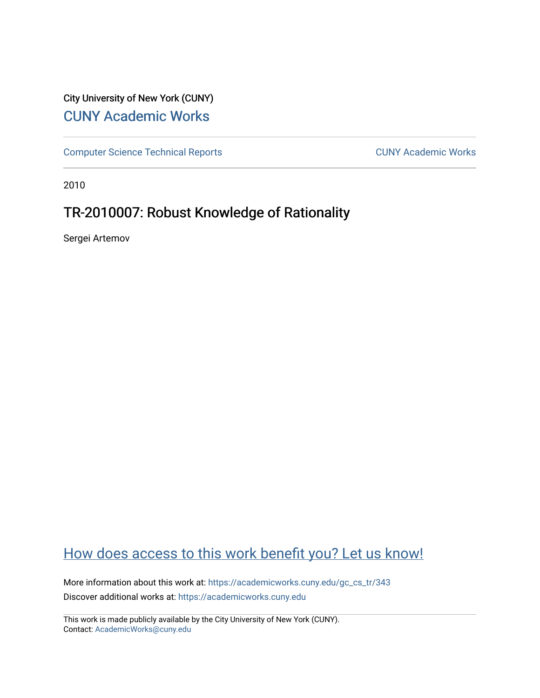## City University of New York (CUNY) [CUNY Academic Works](https://academicworks.cuny.edu/)

[Computer Science Technical Reports](https://academicworks.cuny.edu/gc_cs_tr) **CUNY Academic Works** CUNY Academic Works

2010

## TR-2010007: Robust Knowledge of Rationality

Sergei Artemov

# [How does access to this work benefit you? Let us know!](http://ols.cuny.edu/academicworks/?ref=https://academicworks.cuny.edu/gc_cs_tr/343)

More information about this work at: [https://academicworks.cuny.edu/gc\\_cs\\_tr/343](https://academicworks.cuny.edu/gc_cs_tr/343)  Discover additional works at: [https://academicworks.cuny.edu](https://academicworks.cuny.edu/?)

This work is made publicly available by the City University of New York (CUNY). Contact: [AcademicWorks@cuny.edu](mailto:AcademicWorks@cuny.edu)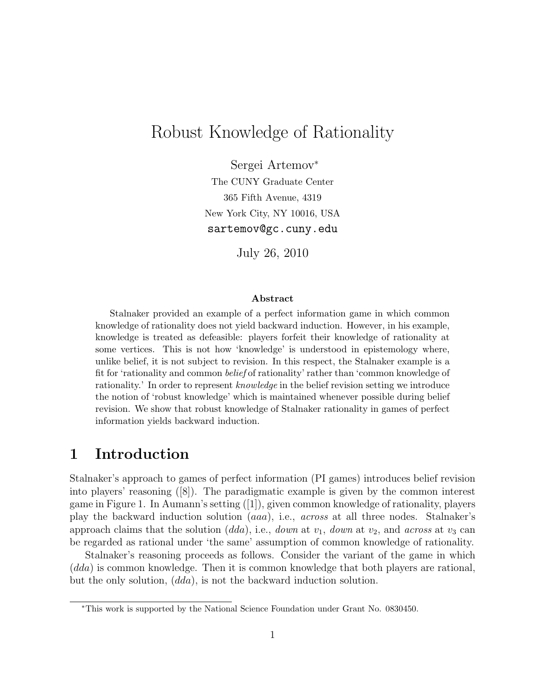# Robust Knowledge of Rationality

Sergei Artemov<sup>∗</sup> The CUNY Graduate Center 365 Fifth Avenue, 4319 New York City, NY 10016, USA sartemov@gc.cuny.edu

July 26, 2010

#### Abstract

Stalnaker provided an example of a perfect information game in which common knowledge of rationality does not yield backward induction. However, in his example, knowledge is treated as defeasible: players forfeit their knowledge of rationality at some vertices. This is not how 'knowledge' is understood in epistemology where, unlike belief, it is not subject to revision. In this respect, the Stalnaker example is a fit for 'rationality and common belief of rationality' rather than 'common knowledge of rationality.' In order to represent *knowledge* in the belief revision setting we introduce the notion of 'robust knowledge' which is maintained whenever possible during belief revision. We show that robust knowledge of Stalnaker rationality in games of perfect information yields backward induction.

### 1 Introduction

Stalnaker's approach to games of perfect information (PI games) introduces belief revision into players' reasoning ([8]). The paradigmatic example is given by the common interest game in Figure 1. In Aumann's setting ([1]), given common knowledge of rationality, players play the backward induction solution (aaa), i.e., across at all three nodes. Stalnaker's approach claims that the solution  $(dda)$ , i.e., *down* at  $v_1$ , *down* at  $v_2$ , and *across* at  $v_3$  can be regarded as rational under 'the same' assumption of common knowledge of rationality.

Stalnaker's reasoning proceeds as follows. Consider the variant of the game in which (dda) is common knowledge. Then it is common knowledge that both players are rational, but the only solution, (dda), is not the backward induction solution.

<sup>∗</sup>This work is supported by the National Science Foundation under Grant No. 0830450.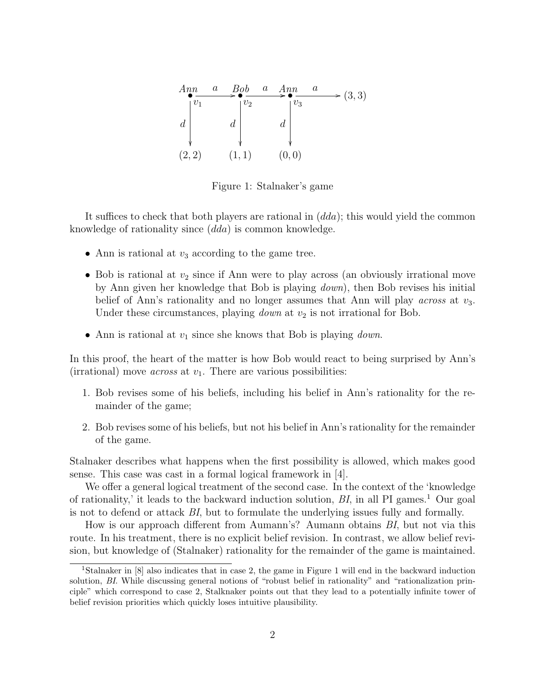| Ann            | Bob<br>$\boldsymbol{a}$ | Ann<br>$\boldsymbol{a}$<br>$\boldsymbol{a}$ | (3, 3) |
|----------------|-------------------------|---------------------------------------------|--------|
| $v_1$          | $v_2$                   | $v_3$                                       |        |
| $\overline{d}$ | $\boldsymbol{d}$        | d                                           |        |
|                |                         |                                             |        |
| (2, 2)         | (1,1)                   | (0,0)                                       |        |

Figure 1: Stalnaker's game

It suffices to check that both players are rational in  $(dda)$ ; this would yield the common knowledge of rationality since  $(dda)$  is common knowledge.

- Ann is rational at  $v_3$  according to the game tree.
- Bob is rational at  $v_2$  since if Ann were to play across (an obviously irrational move by Ann given her knowledge that Bob is playing down), then Bob revises his initial belief of Ann's rationality and no longer assumes that Ann will play *across* at  $v_3$ . Under these circumstances, playing *down* at  $v_2$  is not irrational for Bob.
- Ann is rational at  $v_1$  since she knows that Bob is playing *down*.

In this proof, the heart of the matter is how Bob would react to being surprised by Ann's (irrational) move *across* at  $v_1$ . There are various possibilities:

- 1. Bob revises some of his beliefs, including his belief in Ann's rationality for the remainder of the game;
- 2. Bob revises some of his beliefs, but not his belief in Ann's rationality for the remainder of the game.

Stalnaker describes what happens when the first possibility is allowed, which makes good sense. This case was cast in a formal logical framework in [4].

We offer a general logical treatment of the second case. In the context of the 'knowledge of rationality,' it leads to the backward induction solution,  $BI$ , in all PI games.<sup>1</sup> Our goal is not to defend or attack BI, but to formulate the underlying issues fully and formally.

How is our approach different from Aumann's? Aumann obtains BI, but not via this route. In his treatment, there is no explicit belief revision. In contrast, we allow belief revision, but knowledge of (Stalnaker) rationality for the remainder of the game is maintained.

<sup>&</sup>lt;sup>1</sup>Stalnaker in [8] also indicates that in case 2, the game in Figure 1 will end in the backward induction solution, BI. While discussing general notions of "robust belief in rationality" and "rationalization principle" which correspond to case 2, Stalknaker points out that they lead to a potentially infinite tower of belief revision priorities which quickly loses intuitive plausibility.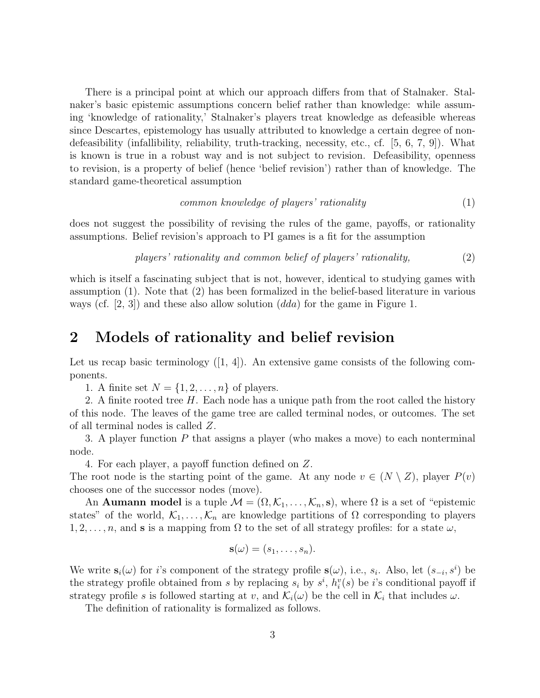There is a principal point at which our approach differs from that of Stalnaker. Stalnaker's basic epistemic assumptions concern belief rather than knowledge: while assuming 'knowledge of rationality,' Stalnaker's players treat knowledge as defeasible whereas since Descartes, epistemology has usually attributed to knowledge a certain degree of nondefeasibility (infallibility, reliability, truth-tracking, necessity, etc., cf. [5, 6, 7, 9]). What is known is true in a robust way and is not subject to revision. Defeasibility, openness to revision, is a property of belief (hence 'belief revision') rather than of knowledge. The standard game-theoretical assumption

common knowledge of players' rationality (1)

does not suggest the possibility of revising the rules of the game, payoffs, or rationality assumptions. Belief revision's approach to PI games is a fit for the assumption

$$
plays' rationality and common belief of players' rationality,
$$
\n
$$
(2)
$$

which is itself a fascinating subject that is not, however, identical to studying games with assumption (1). Note that (2) has been formalized in the belief-based literature in various ways (cf.  $[2, 3]$ ) and these also allow solution  $(dda)$  for the game in Figure 1.

#### 2 Models of rationality and belief revision

Let us recap basic terminology  $([1, 4])$ . An extensive game consists of the following components.

1. A finite set  $N = \{1, 2, \ldots, n\}$  of players.

2. A finite rooted tree  $H$ . Each node has a unique path from the root called the history of this node. The leaves of the game tree are called terminal nodes, or outcomes. The set of all terminal nodes is called Z.

3. A player function P that assigns a player (who makes a move) to each nonterminal node.

4. For each player, a payoff function defined on Z.

The root node is the starting point of the game. At any node  $v \in (N \setminus Z)$ , player  $P(v)$ chooses one of the successor nodes (move).

An **Aumann model** is a tuple  $\mathcal{M} = (\Omega, \mathcal{K}_1, \dots, \mathcal{K}_n, \mathbf{s})$ , where  $\Omega$  is a set of "epistemic states" of the world,  $\mathcal{K}_1, \ldots, \mathcal{K}_n$  are knowledge partitions of  $\Omega$  corresponding to players  $1, 2, \ldots, n$ , and s is a mapping from  $\Omega$  to the set of all strategy profiles: for a state  $\omega$ ,

$$
\mathbf{s}(\omega)=(s_1,\ldots,s_n).
$$

We write  $s_i(\omega)$  for i's component of the strategy profile  $s(\omega)$ , i.e.,  $s_i$ . Also, let  $(s_{-i}, s^i)$  be the strategy profile obtained from s by replacing  $s_i$  by  $s^i$ ,  $h_i^v(s)$  be i's conditional payoff if strategy profile s is followed starting at v, and  $\mathcal{K}_i(\omega)$  be the cell in  $\mathcal{K}_i$  that includes  $\omega$ .

The definition of rationality is formalized as follows.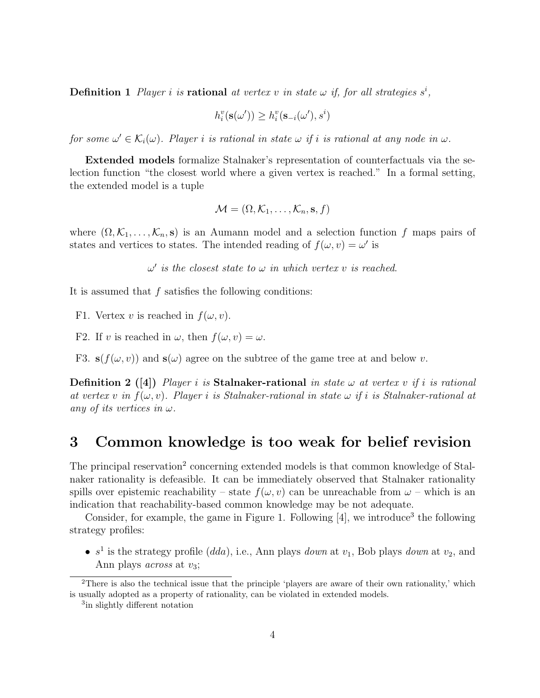**Definition 1** Player i is **rational** at vertex v in state  $\omega$  if, for all strategies  $s^i$ ,

$$
h_i^v(\mathbf{s}(\omega')) \geq h_i^v(\mathbf{s}_{-i}(\omega'), s^i)
$$

for some  $\omega' \in \mathcal{K}_i(\omega)$ . Player i is rational in state  $\omega$  if i is rational at any node in  $\omega$ .

Extended models formalize Stalnaker's representation of counterfactuals via the selection function "the closest world where a given vertex is reached." In a formal setting, the extended model is a tuple

$$
\mathcal{M} = (\Omega, \mathcal{K}_1, \dots, \mathcal{K}_n, \mathbf{s}, f)
$$

where  $(\Omega, \mathcal{K}_1, \ldots, \mathcal{K}_n, s)$  is an Aumann model and a selection function f maps pairs of states and vertices to states. The intended reading of  $f(\omega, v) = \omega'$  is

 $\omega'$  is the closest state to  $\omega$  in which vertex v is reached.

It is assumed that  $f$  satisfies the following conditions:

F1. Vertex v is reached in  $f(\omega, v)$ .

F2. If v is reached in  $\omega$ , then  $f(\omega, v) = \omega$ .

F3.  $s(f(\omega, v))$  and  $s(\omega)$  agree on the subtree of the game tree at and below v.

**Definition 2** ([4]) Player i is Stalnaker-rational in state  $\omega$  at vertex v if i is rational at vertex v in  $f(\omega, v)$ . Player i is Stalnaker-rational in state  $\omega$  if i is Stalnaker-rational at any of its vertices in  $\omega$ .

#### 3 Common knowledge is too weak for belief revision

The principal reservation<sup>2</sup> concerning extended models is that common knowledge of Stalnaker rationality is defeasible. It can be immediately observed that Stalnaker rationality spills over epistemic reachability – state  $f(\omega, v)$  can be unreachable from  $\omega$  – which is an indication that reachability-based common knowledge may be not adequate.

Consider, for example, the game in Figure 1. Following  $[4]$ , we introduce<sup>3</sup> the following strategy profiles:

•  $s^1$  is the strategy profile (dda), i.e., Ann plays down at  $v_1$ , Bob plays down at  $v_2$ , and Ann plays *across* at  $v_3$ ;

<sup>&</sup>lt;sup>2</sup>There is also the technical issue that the principle 'players are aware of their own rationality,' which is usually adopted as a property of rationality, can be violated in extended models.

<sup>3</sup> in slightly different notation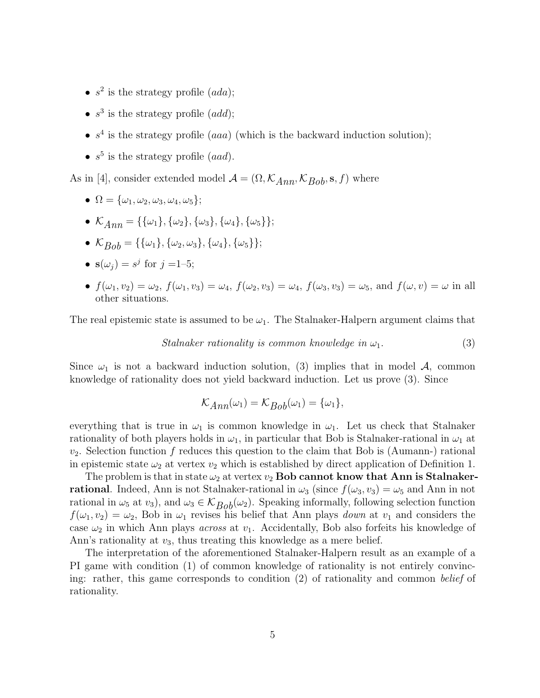- $s^2$  is the strategy profile  $(ada)$ ;
- $s^3$  is the strategy profile  $(add)$ ;
- $s<sup>4</sup>$  is the strategy profile (*aaa*) (which is the backward induction solution);
- $s^5$  is the strategy profile (aad).

As in [4], consider extended model  $\mathcal{A} = (\Omega, \mathcal{K}_{Ann}, \mathcal{K}_{Bob}, s, f)$  where

- $\Omega = {\omega_1, \omega_2, \omega_3, \omega_4, \omega_5};$
- $\mathcal{K}_{Ann} = {\{\{\omega_1\}, \{\omega_2\}, \{\omega_3\}, \{\omega_4\}, \{\omega_5\}\};$
- $\mathcal{K}_{Rob} = \{\{\omega_1\}, \{\omega_2, \omega_3\}, \{\omega_4\}, \{\omega_5\}\};$
- $s(\omega_j) = s^j$  for  $j = 1-5$ ;
- $f(\omega_1, \nu_2) = \omega_2$ ,  $f(\omega_1, \nu_3) = \omega_4$ ,  $f(\omega_2, \nu_3) = \omega_4$ ,  $f(\omega_3, \nu_3) = \omega_5$ , and  $f(\omega, \nu) = \omega$  in all other situations.

The real epistemic state is assumed to be  $\omega_1$ . The Stalnaker-Halpern argument claims that

Stalnaker rationality is common knowledge in  $\omega_1$ . (3)

Since  $\omega_1$  is not a backward induction solution, (3) implies that in model A, common knowledge of rationality does not yield backward induction. Let us prove (3). Since

$$
\mathcal{K}_{Ann}(\omega_1) = \mathcal{K}_{Bob}(\omega_1) = {\omega_1},
$$

everything that is true in  $\omega_1$  is common knowledge in  $\omega_1$ . Let us check that Stalnaker rationality of both players holds in  $\omega_1$ , in particular that Bob is Stalnaker-rational in  $\omega_1$  at  $v_2$ . Selection function f reduces this question to the claim that Bob is (Aumann-) rational in epistemic state  $\omega_2$  at vertex  $v_2$  which is established by direct application of Definition 1.

The problem is that in state  $\omega_2$  at vertex  $v_2$  Bob cannot know that Ann is Stalnakerrational. Indeed, Ann is not Stalnaker-rational in  $\omega_3$  (since  $f(\omega_3, \nu_3) = \omega_5$  and Ann in not rational in  $\omega_5$  at  $v_3$ ), and  $\omega_3 \in \mathcal{K}_{Bob}(\omega_2)$ . Speaking informally, following selection function  $f(\omega_1, \nu_2) = \omega_2$ , Bob in  $\omega_1$  revises his belief that Ann plays *down* at  $\nu_1$  and considers the case  $\omega_2$  in which Ann plays *across* at  $v_1$ . Accidentally, Bob also forfeits his knowledge of Ann's rationality at  $v_3$ , thus treating this knowledge as a mere belief.

The interpretation of the aforementioned Stalnaker-Halpern result as an example of a PI game with condition (1) of common knowledge of rationality is not entirely convincing: rather, this game corresponds to condition (2) of rationality and common belief of rationality.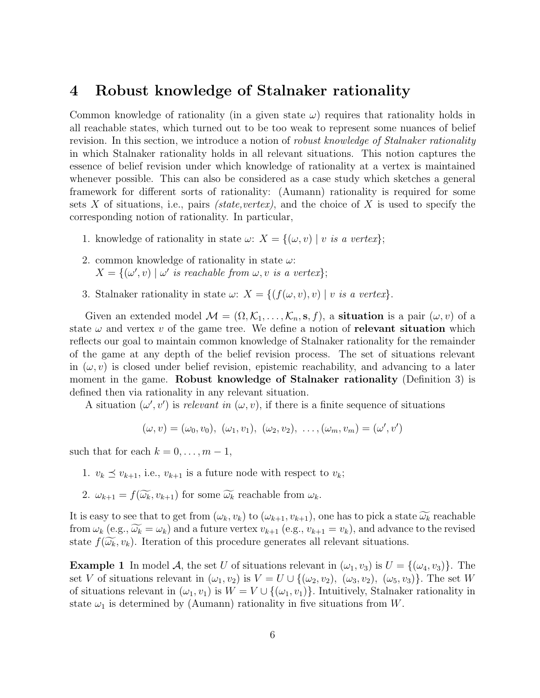#### 4 Robust knowledge of Stalnaker rationality

Common knowledge of rationality (in a given state  $\omega$ ) requires that rationality holds in all reachable states, which turned out to be too weak to represent some nuances of belief revision. In this section, we introduce a notion of *robust knowledge of Stalnaker rationality* in which Stalnaker rationality holds in all relevant situations. This notion captures the essence of belief revision under which knowledge of rationality at a vertex is maintained whenever possible. This can also be considered as a case study which sketches a general framework for different sorts of rationality: (Aumann) rationality is required for some sets X of situations, i.e., pairs *(state,vertex)*, and the choice of X is used to specify the corresponding notion of rationality. In particular,

- 1. knowledge of rationality in state  $\omega: X = \{(\omega, v) \mid v \text{ is a vertex}\}\;$
- 2. common knowledge of rationality in state  $\omega$ :  $X = \{(\omega', v) \mid \omega' \text{ is reachable from } \omega, v \text{ is a vertex}\};$
- 3. Stalnaker rationality in state  $\omega$ :  $X = \{ (f(\omega, v), v) \mid v \text{ is a vertex} \}.$

Given an extended model  $\mathcal{M} = (\Omega, \mathcal{K}_1, \ldots, \mathcal{K}_n, \mathbf{s}, f)$ , a **situation** is a pair  $(\omega, v)$  of a state  $\omega$  and vertex v of the game tree. We define a notion of **relevant situation** which reflects our goal to maintain common knowledge of Stalnaker rationality for the remainder of the game at any depth of the belief revision process. The set of situations relevant in  $(\omega, v)$  is closed under belief revision, epistemic reachability, and advancing to a later moment in the game. Robust knowledge of Stalnaker rationality (Definition 3) is defined then via rationality in any relevant situation.

A situation  $(\omega', v')$  is relevant in  $(\omega, v)$ , if there is a finite sequence of situations

$$
(\omega, v) = (\omega_0, v_0), \ (\omega_1, v_1), \ (\omega_2, v_2), \ \ldots, (\omega_m, v_m) = (\omega', v')
$$

such that for each  $k = 0, \ldots, m - 1$ ,

- 1.  $v_k \preceq v_{k+1}$ , i.e.,  $v_{k+1}$  is a future node with respect to  $v_k$ ;
- 2.  $\omega_{k+1} = f(\widetilde{\omega_k}, v_{k+1})$  for some  $\widetilde{\omega_k}$  reachable from  $\omega_k$ .

It is easy to see that to get from  $(\omega_k, v_k)$  to  $(\omega_{k+1}, v_{k+1})$ , one has to pick a state  $\widetilde{\omega_k}$  reachable from  $\omega_k$  (e.g.,  $\widetilde{\omega_k} = \omega_k$ ) and a future vertex  $v_{k+1}$  (e.g.,  $v_{k+1} = v_k$ ), and advance to the revised state  $f(\widetilde{\omega_k}, v_k)$ . Iteration of this procedure generates all relevant situations.

**Example 1** In model A, the set U of situations relevant in  $(\omega_1, \nu_3)$  is  $U = \{(\omega_4, \nu_3)\}\.$  The set V of situations relevant in  $(\omega_1, \nu_2)$  is  $V = U \cup \{(\omega_2, \nu_2), (\omega_3, \nu_2), (\omega_5, \nu_3)\}\.$  The set W of situations relevant in  $(\omega_1, v_1)$  is  $W = V \cup \{(\omega_1, v_1)\}\.$  Intuitively, Stalnaker rationality in state  $\omega_1$  is determined by (Aumann) rationality in five situations from W.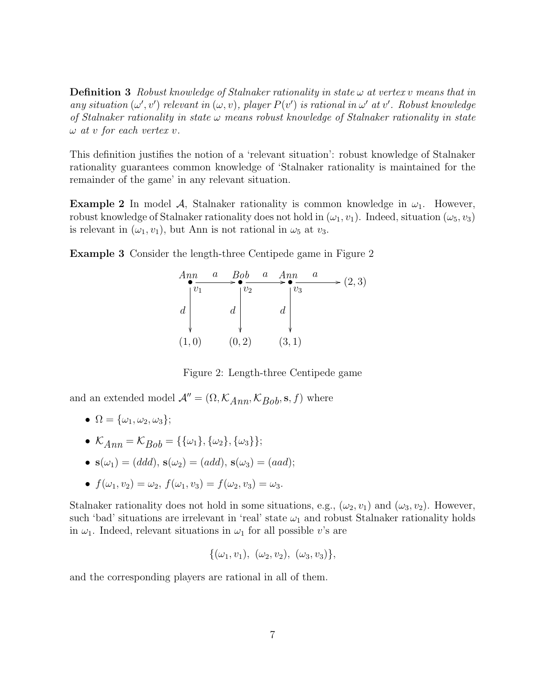**Definition 3** Robust knowledge of Stalnaker rationality in state  $\omega$  at vertex v means that in any situation  $(\omega', v')$  relevant in  $(\omega, v)$ , player  $P(v')$  is rational in  $\omega'$  at v'. Robust knowledge of Stalnaker rationality in state  $\omega$  means robust knowledge of Stalnaker rationality in state  $\omega$  at v for each vertex v.

This definition justifies the notion of a 'relevant situation': robust knowledge of Stalnaker rationality guarantees common knowledge of 'Stalnaker rationality is maintained for the remainder of the game' in any relevant situation.

**Example 2** In model A, Stalnaker rationality is common knowledge in  $\omega_1$ . However, robust knowledge of Stalnaker rationality does not hold in  $(\omega_1, v_1)$ . Indeed, situation  $(\omega_5, v_3)$ is relevant in  $(\omega_1, v_1)$ , but Ann is not rational in  $\omega_5$  at  $v_3$ .

Example 3 Consider the length-three Centipede game in Figure 2

| Ann        | Bob<br>$\it a$   | Ann<br>$\boldsymbol{a}$ | $\it a$<br>(2, 3) |
|------------|------------------|-------------------------|-------------------|
| $v_1$      | $v_2$            | $v_3$                   |                   |
| $\emph{d}$ | $\boldsymbol{d}$ |                         |                   |
|            |                  |                         |                   |
| (1,0)      | (0, 2)           | (3,1)                   |                   |

Figure 2: Length-three Centipede game

and an extended model  $\mathcal{A}'' = (\Omega, \mathcal{K}_{Ann}, \mathcal{K}_{Bob}, \mathbf{s}, f)$  where

- $\Omega = {\omega_1, \omega_2, \omega_3};$
- $\mathcal{K}_{Ann} = \mathcal{K}_{Bob} = {\{\{\omega_1\}, \{\omega_2\}, \{\omega_3\}\}};$
- $\mathbf{s}(\omega_1) = (ddd), \, \mathbf{s}(\omega_2) = (add), \, \mathbf{s}(\omega_3) = (aad);$
- $f(\omega_1, v_2) = \omega_2$ ,  $f(\omega_1, v_3) = f(\omega_2, v_3) = \omega_3$ .

Stalnaker rationality does not hold in some situations, e.g.,  $(\omega_2, v_1)$  and  $(\omega_3, v_2)$ . However, such 'bad' situations are irrelevant in 'real' state  $\omega_1$  and robust Stalnaker rationality holds in  $\omega_1$ . Indeed, relevant situations in  $\omega_1$  for all possible v's are

$$
\{(\omega_1, v_1), \ (\omega_2, v_2), \ (\omega_3, v_3)\},\
$$

and the corresponding players are rational in all of them.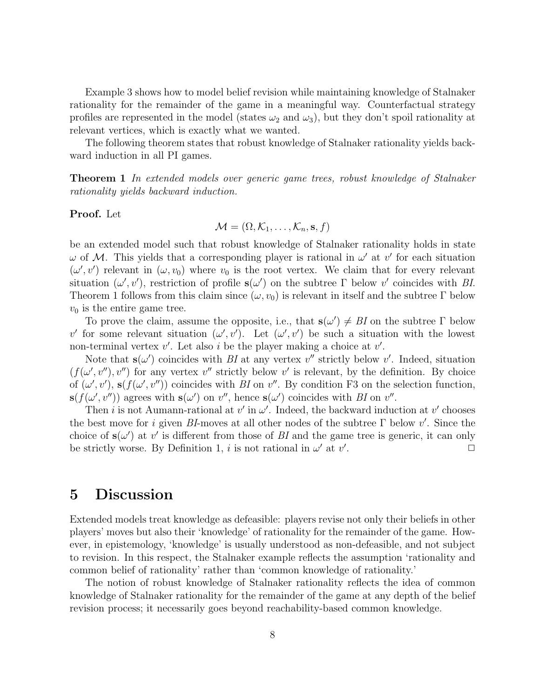Example 3 shows how to model belief revision while maintaining knowledge of Stalnaker rationality for the remainder of the game in a meaningful way. Counterfactual strategy profiles are represented in the model (states  $\omega_2$  and  $\omega_3$ ), but they don't spoil rationality at relevant vertices, which is exactly what we wanted.

The following theorem states that robust knowledge of Stalnaker rationality yields backward induction in all PI games.

**Theorem 1** In extended models over generic game trees, robust knowledge of Stalnaker rationality yields backward induction.

Proof. Let

$$
\mathcal{M} = (\Omega, \mathcal{K}_1, \dots, \mathcal{K}_n, \mathbf{s}, f)
$$

be an extended model such that robust knowledge of Stalnaker rationality holds in state ω of M. This yields that a corresponding player is rational in  $ω'$  at  $v'$  for each situation  $(\omega', v')$  relevant in  $(\omega, v_0)$  where  $v_0$  is the root vertex. We claim that for every relevant situation  $(\omega', v')$ , restriction of profile  $s(\omega')$  on the subtree  $\Gamma$  below v' coincides with BI. Theorem 1 follows from this claim since  $(\omega, v_0)$  is relevant in itself and the subtree Γ below  $v_0$  is the entire game tree.

To prove the claim, assume the opposite, i.e., that  $s(\omega') \neq B I$  on the subtree  $\Gamma$  below v' for some relevant situation  $(\omega', v')$ . Let  $(\omega', v')$  be such a situation with the lowest non-terminal vertex  $v'$ . Let also i be the player making a choice at  $v'$ .

Note that  $s(\omega')$  coincides with BI at any vertex  $v''$  strictly below v'. Indeed, situation  $(f(\omega', v''), v'')$  for any vertex v'' strictly below v' is relevant, by the definition. By choice of  $(\omega', v')$ ,  $s(f(\omega', v''))$  coincides with BI on v''. By condition F3 on the selection function,  $\mathbf{s}(f(\omega', v''))$  agrees with  $\mathbf{s}(\omega')$  on  $v''$ , hence  $\mathbf{s}(\omega')$  coincides with BI on  $v''$ .

Then *i* is not Aumann-rational at  $v'$  in  $\omega'$ . Indeed, the backward induction at  $v'$  chooses the best move for i given BI-moves at all other nodes of the subtree  $\Gamma$  below v'. Since the choice of  $s(\omega')$  at v' is different from those of BI and the game tree is generic, it can only be strictly worse. By Definition 1, i is not rational in  $\omega'$  at v' .  $\Box$ 

#### 5 Discussion

Extended models treat knowledge as defeasible: players revise not only their beliefs in other players' moves but also their 'knowledge' of rationality for the remainder of the game. However, in epistemology, 'knowledge' is usually understood as non-defeasible, and not subject to revision. In this respect, the Stalnaker example reflects the assumption 'rationality and common belief of rationality' rather than 'common knowledge of rationality.'

The notion of robust knowledge of Stalnaker rationality reflects the idea of common knowledge of Stalnaker rationality for the remainder of the game at any depth of the belief revision process; it necessarily goes beyond reachability-based common knowledge.